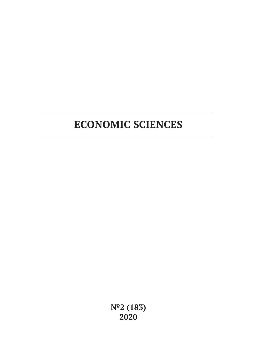# **ECONOMIC SCIENCES**

**№2 (183) 2020**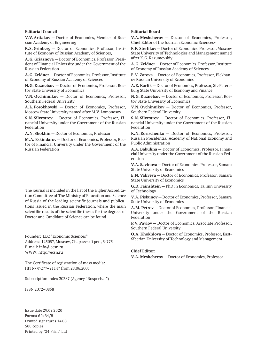#### **Editorial Council**

**V.V. Artiakov** — Doctor of Economics, Member of Russian Academy of Engineering

**R.S. Grinberg** — Doctor of Economics, Professor, Institute of Economy of Russian Academy of Sciences,

**A.G. Griaznova** — Doctor of Economics, Professor, President of Financial University under the Government of the Russian Federation

**A.G. Zeldner** — Doctor of Economics, Professor, Institute of Economy of Russian Academy of Sciences

**N.G. Kuznetsov** — Doctor of Economics, Professor, Rostov State University of Economics

**V.N. Ovchinnikov** — Doctor of Economics, Professor, Southern Federal University

**A.L. Porokhovski** — Doctor of Economics, Professor, Moscow State University named after M.V. Lomonosov

**S.N. Silvestrov** — Doctor of Economics, Professor, Financial University under the Government of the Russian Federation

**A.N. Shokhin** — Doctor of Economics, Professor

**M.A. Eskindarov** — Doctor of Economics, Professor, Rector of Financial University under the Government of the Russian Federation

The journal is included in the list of the Higher Accreditation Committee of The Ministry of Education and Science of Russia of the leading scientific journals and publications issued in the Russian Federation, where the main scientific results of the scientific theses for the degrees of Doctor and Candidate of Science can be found

Founder: LLC "Economic Sciences" Address: 125057, Moscow, Chapaevskii per., 3-775 E-mail: info@ecsn.ru WWW: http://ecsn.ru

The Certificate of registration of mass media: ПИ № ФС77–21147 from 28.06.2005

Subscription index 20387 (Agency "Rospechat")

ISSN 2072–0858

Issue date 29.02.2020 Format 60х84/8 Printed signatures 14.88 500 copies Printed by "24 Print" Ltd

#### **Editorial Board**

**V.A. Meshcherov** — Doctor of Economics, Professor, Chief Editor of the Journal «Economic Sciences»

**F.F. Sterlikov** — Doctor of Economics, Professor, Moscow State University of Technologies and Management named after K.G. Razumovskiy

**A.G. Zeldner** — Doctor of Economics, Professor, Institute of Economy of Russian Academy of Sciences

**E.V. Zarova** — Doctor of Economics, Professor, Plekhanov Russian University of Economics

**A.E. Karlik** — Doctor of Economics, Professor, St.-Petersburg State University of Economy and Finance

**N.G. Kuznetsov** — Doctor of Economics, Professor, Rostov State University of Economics

**V.N. Ovchinnikov** — Doctor of Economics, Professor, Southern Federal University

**S.N. Silvestrov** — Doctor of Economics, Professor, Financial University under the Government of the Russian Federation

**K.N. Korischenko** — Doctor of Economics, Professor, Russian Presidential Academy of National Economy and Public Administration

**A.A. Bakulina** — Doctor of Economics, Professor, Financial University under the Government of the Russian Federation

**V.A. Savinova** — Doctor of Economics, Professor, Samara State University of Economics

**E.N. Valiyeva** — Doctor of Economics, Professor, Samara State University of Economics

**G.D. Fainshtein** — PhD in Economics, Tallinn University of Technology

**V.A. Piskunov** — Doctor of Economics, Professor, Samara State University of Economics

**A.M. Petrov** — Doctor of Economics, Professor, Financial University under the Government of the Russian Federation

**P.V. Pavlov** — Doctor of Economics, Associate Professor, Southern Federal University

**O.A. Khokhlova** — Doctor of Economics, Professor, East-Siberian University of Technology and Management

#### **Chief Editor:**

**V.A. Meshcherov** — Doctor of Economics, Professor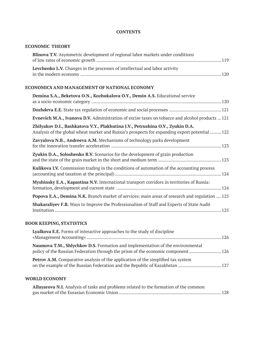## **CONTENTS**

# **ECONOMIC THEORY**

## **ECONOMICS AND MANAGEMENT OF NATIONAL ECONOMY**

| Demina S.A., Beketova O.N., Kozhukalova O.Y., Demin A.S. Educational service                                                                                                     |
|----------------------------------------------------------------------------------------------------------------------------------------------------------------------------------|
|                                                                                                                                                                                  |
|                                                                                                                                                                                  |
| <b>Evnevich M.A., Ivanova D.V.</b> Administration of excise taxes on tobacco and alcohol products  121                                                                           |
| Zhilyakov D.I., Bashkatova V.Y., Plakhutina J.V., Petrushina O.V., Zyukin D.A.<br>Analysis of the global wheat market and Russia's prospects for expanding export potential  122 |
| Zavyalova N.B., Andreeva A.M. Mechanisms of technology parks development                                                                                                         |
| Zyukin D.A., Soloshenko R.V. Scenarios for the development of grain production                                                                                                   |
| <b>Kulikova I.V.</b> Commission trading in the conditions of automation of the accounting process                                                                                |
| Myshinsky E.A., Kapastina N.V. International transport corridors in territories of Russia:                                                                                       |
| <b>Popova E.A., Demina N.K.</b> Branch market of services: main areas of research and regulation  125                                                                            |
| <b>Shakaraliyev F.B.</b> Ways to Improve the Professionalism of Staff and Experts of State Audit                                                                                 |

# **BOOK KEEPING, STATISTICS**

| Lyalkova E.E. Forms of interactive approaches to the study of discipline                                                                                           |  |
|--------------------------------------------------------------------------------------------------------------------------------------------------------------------|--|
| Naumova T.M., Shlychkov D.S. Formation and implementation of the environmental<br>policy of the Russian Federation through the prism of the economic component 126 |  |
| <b>Petrov A.M.</b> Comparative analysis of the application of the simplified tax system                                                                            |  |

# **WORLD ECONOMY**

| Allayarova N.I. Analysis of tasks and problems related to the formation of the common |  |
|---------------------------------------------------------------------------------------|--|
|                                                                                       |  |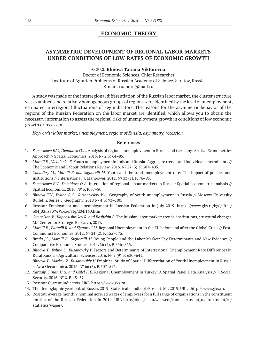# **ECONOMIC THEORY**

# **ASYMMETRIC DEVELOPMENT OF REGIONAL LABOR MARKETS UNDER CONDITIONS OF LOW RATES OF ECONOMIC GROWTH**

#### ©© 2020 **Blinova Tatiana Viktorovna**

Doctor of Economic Sciences, Chief Researcher Institute of Agrarian Problems of Russian Academy of Science, Saratov, Russia E-mail: ruandre@mail.ru

A study was made of the interregional differentiation of the Russian labor market, the cluster structure was examined, and relatively homogeneous groups of regions were identified by the level of unemployment, estimated interregional fluctuations of key indicators. The reasons for the asymmetric behavior of the regions of the Russian Federation on the labor market are identified, which allows you to obtain the necessary information to assess the regional risks of unemployment growth in conditions of low economic growth or recession.

*Keywords: labor market, unemployment, regions of Russia, asymmetry, recession*

#### **References**

- 1. *Semerikova E.V., Demidova O.A.* Analysis of regional unemployment in Russia and Germany: Spatial Econometrics Approach // Spatial Economics. 2015. № 2. P. 64–85.
- 2. *Marelli E., Vakulenko E.* Youth unemployment in Italy and Russia: Aggregate trends and individual determinants // The Economic and Labour Relations Review. 2016. № 27 (3). P. 387–405.
- 3. *Choudhry M., Marelli E. and Signorelli M.* Youth and the total unemployment rate: The impact of policies and institutions // International J. Manpower. 2012. № 33 (1). P. 76–95.
- 4. *Semerikova E.V., Demidova O.A.* Interaction of regional labour markets in Russia: Spatial econometric analysis // Spatial Economics. 2016. № 3. P. 57–80.
- 5. *Blinova T.V., Bylina S.G., Rusanovskiy V.A.* Geography of youth unemployment in Russia // Moscow University Bulletin. Series 5. Geography. 2018 № 4. P. 93–100.
- 6. Rosstat: Employment and unemployment in Russian Federation in July 2019. https: //www.gks.ru/bgd/ free/ b04\_03/IssWWW.exe/Stg/d04/160.htm
- 7. *Gimpelson V., Kapelyushnikov R. and Roshchin S.* The Russian labor market: trends, institutions, structural changes. M.: Center for Strategic Research, 2017.
- 8. *Marelli E., Patuelli R. and Signorelli M.* Regional Unemployment in the EU before and after the Global Crisis // Post– Communist Economies. 2012. № 24 (2). P. 155–175.
- 9. *Brada JC., Marelli E., Signorelli M.* Young People and the Labor Market: Key Determinants and New Evidence // Comparative Economic Studies. 2014. 56 (4). P. 556–566.
- 10. *Blinova T., Bylina S., Rusanovsky V.* Factors and Determinants of Interregional Unemployment Rate Differences in Rural Russia //Agricultural Sciences. 2016. № 7 (9). P. 630–641.
- 11. *Blinova T., Markov V., Rusanovskiy V.* Empirical Study of Spatial Differentiation of Youth Unemployment in Russia // Acta Oeconomica. 2016. № 66 (3). P. 507–526.
- 12. *Karaalp Orhan H.S. and Gülel F.E.* Regional Unemployment in Turkey: A Spatial Panel Data Analysis // J. Social Security. 2016. № 2. P. 48–67.
- 13. Rosstat: Current indicators. URL‑https://www.gks.ru.
- 14. The Demogfaphic yearbook of Russia. 2019: Statistical handbook/Rosstat. M., 2019. URL– http:// www.gks.ru.
- 15. Rosstat: Average monthly nominal accrued wages of employees for a full range of organizations in the constituent entities of the Russian Federation in 2019. URL-http://old.gks. ru/wpswcm/connect/rosstat\_main/ rosstat/ru/ statistics/wages/.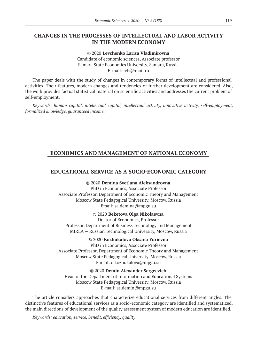## **CHANGES IN THE PROCESSES OF INTELLECTUAL AND LABOR ACTIVITY IN THE MODERN ECONOMY**

©© 2020 **Levchenko Larisa Vladimirovna** Candidate of economic sciences, Associate professor Samara State Economics University, Samara, Russia E-mail: lvls@mail.ru

The paper deals with the study of changes in contemporary forms of intellectual and professional activities. Their features, modern changes and tendencies of further development are considered. Also, the work provides factual statistical material on scientific activities and addresses the current problem of self-employment.

*Keywords: human capital, intellectual capital, intellectual activity, innovative activity, self-employment, formalized knowledge, guaranteed income.*

## **ECONOMICS AND MANAGEMENT OF NATIONAL ECONOMY**

## **EDUCATIONAL SERVICE AS A SOCIO-ECONOMIC CATEGORY**

©© 2020 **Demina Svetlana Aleksandrovna** PhD in Economics, Associate Professor Associate Professor, Department of Economic Theory and Management Moscow State Pedagogical University, Moscow, Russia Email: sa.demina@mpgu.su

©© 2020 **Beketova Olga Nikolaevna**

Doctor of Economics, Professor Professor, Department of Business Technology and Management MIREA — Russian Technological University, Moscow, Russia

©© 2020 **Kozhukalova Oksana Yurievna** PhD in Economics, Associate Professor Associate Professor, Department of Economic Theory and Management Moscow State Pedagogical University, Moscow, Russia E mail: o.kozhukalova@mpgu.su

©© 2020 **Demin Alexander Sergeevich** Head of the Department of Information and Educational Systems Moscow State Pedagogical University, Moscow, Russia E‑mail: as.demin@mpgu.su

The article considers approaches that characterize educational services from different angles. The distinctive features of educational services as a socio-economic category are identified and systematized, the main directions of development of the quality assessment system of modern education are identified.

*Keywords: education, service, benefit, efficiency, quality*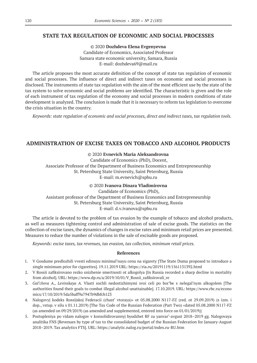### **STATE TAX REGULATION OF ECONOMIC AND SOCIAL PROCESSES**

©© 2020 **Dozhdeva Elena Evgenyevna** Candidate of Economics, Associated Professor Samara state economic university, Samara, Russia Е-mail: dozhdeva69@mail.ru

The article proposes the most accurate definition of the concept of state tax regulation of economic and social processes. The influence of direct and indirect taxes on economic and social processes is disclosed. The instruments of state tax regulation with the aim of the most efficient use by the state of the tax system to solve economic and social problems are identified. The characteristic is given and the role of each instrument of tax regulation of the economy and social processes in modern conditions of state development is analyzed. The conclusion is made that it is necessary to reform tax legislation to overcome the crisis situation in the country.

*Keywords: state regulation of economic and social processes, direct and indirect taxes, tax regulation tools.*

## **ADMINISTRATION OF EXCISE TAXES ON TOBACCO AND ALCOHOL PRODUCTS**

©© 2020 **Evnevich Maria Aleksandrovna**

Candidate of Economics (PhD), Docent, Associate Professor of the Department of Business Economics and Entrepreneurship St. Petersburg State University, Saint Petersburg, Russia E‑mail: m.evnevich@spbu.ru

#### ©© 2020 **Ivanova Dinara Vladimirovna**

Candidate of Economics (PhD), Assistant professor of the Department of Business Economics and Entrepreneurship St. Petersburg State University, Saint Petersburg, Russia E‑mail: d.v.ivanova@spbu.ru

The article is devoted to the problem of tax evasion by the example of tobacco and alcohol products, as well as measures tightening control and administration of sale of excise goods. The statistics on the collection of excise taxes, the dynamics of changes in excise rates and minimum retail prices are presented. Measures to reduce the number of violations in the sale of excisable goods are proposed.

*Keywords: excise taxes, tax revenues, tax evasion, tax collection, minimum retail prices.*

#### **References**

- 1. V Gosdume predlozhili vvesti edinuyu minimal'nuyu cenu na sigarety [The State Duma proposed to introduce a single minimum price for cigarettes]. 19.11.2019 URL: https://ria.ru/20191119/1561131392.html
- 2. V Rossii zafiksirovano rezko snizhenie smertnosti ot alkogolya [In Russia recorded a sharp decline in mortality from alcohol]. URL: https://www.dp.ru/a/2019/10/01/V\_Rossii\_zafiksirovali\_re
- 3. *Gal'cheva A., Levinskaya A.*  Vlasti sochli nedostizhimymi svoi celi po bor'be s nelegal'nym alkogolem [The authorities found their goals to combat illegal alcohol unattainable]. 17.10.2019. URL: https://www.rbc.ru/econo mics/17/10/2019/5da5baff9a7947b9dbfcb123
- 4. Nalogovyj kodeks Rossijskoj Federacii (chast' vtoraya)» ot 05.08.2000 N117-FZ (red. ot 29.09.2019) (s izm. i dop., vstup. v silu s 01.11.2019) [The Tax Code of the Russian Federation (Part Two) «dated 05.08.2000 N117-FZ (as amended on 09/29/2019) (as amended and supplemented, entered into force on 01/01/2019)]
- 5. Postupleniya po vidam nalogov v konsolidirovannyj byudzhet RF za yanvar'-avgust 2018–2019 gg. Nalogovaya analitika FNS [Revenues by type of tax to the consolidated budget of the Russian Federation for January-August 2018–2019. Tax analytics FTS]. URL: https://analytic.nalog.ru/portal/index.ru-RU.htm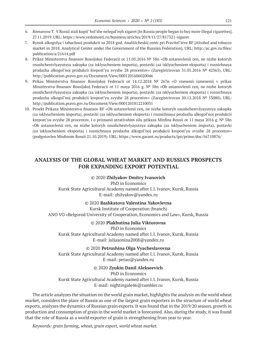- 6. *Romanova T.* V Rossii stali kupit' bol'she nelegal'nyh sigaret [In Russia people began to buy more illegal cigarettes]. 27.11.2019. URL: https://www.vedomosti.ru/business/articles/2019/11/27/817321-sigaret
- 7. Rynok alkogolya i tabachnoj produkcii za 2018 god. Analiticheskij centr pri Pravitel'stve RF [Alcohol and tobacco market in 2018. Analytical Center under the Government of the Russian Federation]. URL: http://ac.gov.ru/files/ publication/a/21614.pdf
- 8. Prikaz Ministerstva finansov Rossijskoj Federacii ot 11.05.2016 № 58n «Ob ustanovlenii cen, ne nizhe kotoryh osushchestvlyayutsya zakupka (za isklyucheniem importa), postavki (za isklyucheniem eksporta) i roznichnaya prodazha alkogol'noj produkcii krepost'yu svyshe 28 procentov» (Zaregistrirovan 31.05.2016 № 42365). URL: http://publication.pravo.gov.ru/Document/View/0001201606020046
- 9. Prikaz Ministerstva finansov Rossijskoj Federacii ot 14.12.2018 № 267n «O vnesenii izmenenij v prikaz Ministerstva finansov Rossijskoj Federacii ot 11 maya 2016 g. № 58n «Ob ustanovlenii cen, ne nizhe kotoryh osushchestvlyayutsya zakupka (za isklyucheniem importa), postavki (za isklyucheniem eksporta) i roznichnaya prodazha alkogol'noj produkcii krepost'yu svyshe 28 procentov» (Zaregistrirovan 20.12.2018 № 53080). URL: http://publication.pravo.gov.ru/Document/View/0001201812210031
- 10. Proekt Prikaza Ministerstva finansov RF «Ob ustanovlenii cen, ne nizhe kotoryh osushchestvlyayutsya zakupka (za isklyucheniem importa), postavki (za isklyucheniem eksporta) i roznichnaya prodazha alkogol'noj produkcii krepost'yu svyshe 28 procentov, i o priznanii utrativshim silu prikaza Minfina Rossii ot 11 maya 2016 g. № 58n «Ob ustanovlenii cen, ne nizhe kotoryh osushchestvlyayutsya zakupka (za isklyucheniem importa), postavki (za isklyucheniem eksporta) i roznichnaya prodazha alkogol'noj produkcii krepost'yu svyshe 28 procentov» (podgotovlen Minfinom Rossii 21.10.2019). URL: https://www.garant.ru/products/ipo/prime/doc/56710876/

## **ANALYSIS OF THE GLOBAL WHEAT MARKET AND RUSSIA'S PROSPECTS FOR EXPANDING EXPORT POTENTIAL**

#### ©© 2020 **Zhilyakov Dmitry Ivanovich**

PhD in Economics Kursk State Agricultural Academy named after I.I. Ivanov, Kursk, Russia E‑mail: zhilyakov@yandex.ru

#### ©© 2020 **Bashkatova Valentina Yakovlevna**

Kursk Institute of Cooperation (branch) ANO VO «Belgorod University of Cooperation, Economics and Law», Kursk, Russia

#### ©© 2020 **Plakhutina Julia Viktorovna**

PhD in Economics Kursk State Agricultural Academy named after I.I. Ivanov, Kursk, Russia E‑mail: juliasonina2008@yandex.ru

©© 2020 **Petrushina Olga Vyacheslavovna** Kursk State Agricultural Academy named after I.I. Ivanov, Kursk, Russia E‑mail: petao@yandex.ru

©© 2020 **Zyukin Danil Alekseevich**

PhD in Economics Kursk State Agricultural Academy named after I.I. Ivanov, Kursk, Russia E‑mail: nightingale46@rambler.ru

The article analyzes the situation on the world grain market, highlights the analysis on the world wheat market, considers the place of Russia as one of the largest grain exporters in the structure of world wheat exports, analyzes the dynamics of Russian grain exports. It was found that in the 2019/20 season. growth in production and consumption of grain in the world market is forecasted. Also, during the study, it was found that the role of Russia as a world exporter of grain is strengthening from year to year.

*Keywords: grain farming, wheat, grain export, world wheat market.*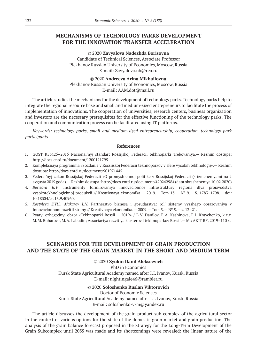# **MECHANISMS OF TECHNOLOGY PARKS DEVELOPMENT FOR THE INNOVATION TRANSFER ACCELERATION**

©© 2020 **Zavyalova Nadezhda Borisovna** Candidate of Technical Sciences, Associate Professor Plekhanov Russian University of Economics, Moscow, Russia E‑mail: Zavyalova.nb@rea.ru

©© 2020 **Andreeva Arina Mikhailovna** Plekhanov Russian University of Economics, Moscow, Russia E-mail: AAM.dot@mail.ru

The article studies the mechanisms for the development of technology parks. Technology parks help to integrate the regional resource base and small and medium-sized entrepreneurs to facilitate the process of implementation of innovations. The cooperation of universities, research centers, business organization and investors are the necessary prerequisites for the effective functioning of the technology parks. The cooperation and communication process can be facilitated using IT platforms.

*Keywords: technology parks, small and medium-sized entrepreneurship, cooperation, technology park participants*

#### **References**

- 1. GOST R56425–2015 Nacional'nyj standart Rossijskoj Federacii tekhnoparki Trebovaniya.— Rezhim dostupa: http://docs.cntd.ru/document/1200121795
- 2. Kompleksnaya programma «Sozdanie v Rossijskoj Federacii tekhnoparkov v sfere vysokih tekhnologij».— Rezhim dostupa: http://docs.cntd.ru/document/901971445
- 3. Federal'nyj zakon Rossijskoj Federacii «O promyshlennoj politike v Rossijskoj Federacii (s izmeneniyami na 2 avgusta 2019 goda).—Rezhim dostupa: http://docs.cntd.ru/document/420242984 (data obrashcheniya 10.02.2020)
- 4. *Borisova E.V.*  Instrumenty formirovaniya innovacionnoj infrastruktury regiona dlya proizvodstva vysokotekhnologichnoj produkcii // Kreativnaya ekonomika.— 2019.— Tom 13.— № 9.— S. 1783–1798.— doi: 10.18334/ce.13.9.40960.
- 5. *Kostyleva S.YU., Makarov I.N.*  Partnerstvo biznesa i gosudarstva: rol' sistemy vysshego obrazovaniya v innovacionnom razvitii strany // Kreativnaya ekonomika.— 2009.— Tom 3.—  $N^2$  5.— s. 13–21.
- 6. Pyatyj ezhegodnyj obzor «Tekhnoparki Rossii 2019» / L.V. Danilov, E.A. Kashinova, E.I. Kravchenko, k.e.n. M.M. Buharova, M.A. Labudin; Associaciya razvitiya klasterov i tekhnoparkov Rossii.— M.: AKIT RF, 2019–110 s.

# **SCENARIOS FOR THE DEVELOPMENT OF GRAIN PRODUCTION AND THE STATE OF THE GRAIN MARKET IN THE SHORT AND MEDIUM TERM**

©© 2020 **Zyukin Danil Alekseevich**

PhD in Economics Kursk State Agricultural Academy named after I.I. Ivanov, Kursk, Russia E‑mail: nightingale46@rambler.ru

#### ©© 2020 **Soloshenko Ruslan Viktorovich**

Doctor of Economic Sciences

Kursk State Agricultural Academy named after I.I. Ivanov, Kursk, Russia E‑mail: soloshenko-v-m@yandex.ru

The article discusses the development of the grain product sub-complex of the agricultural sector in the context of various options for the state of the domestic grain market and grain production. The analysis of the grain balance forecast proposed in the Strategy for the Long-Term Development of the Grain Subcomplex until 2035 was made and its shortcomings were revealed: the linear nature of the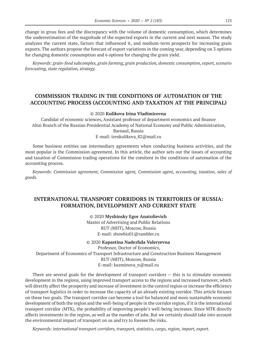change in gross fees and the discrepancy with the volume of domestic consumption, which determines the underestimation of the magnitude of the expected exports in the current and next season. The study analyzes the current state, factors that influenced it, and medium-term prospects for increasing grain exports. The authors propose the forecast of export variations in the coming year, depending on 3 options for changing domestic consumption and 6 options for changing the grain yield.

*Keywords: grain-food subcomplex, grain farming, grain production, domestic consumption, export, scenario forecasting, state regulation, strategy.*

# **COMMISSION TRADING IN THE CONDITIONS OF AUTOMATION OF THE ACCOUNTING PROCESS (ACCOUNTING AND TAXATION AT THE PRINCIPAL)**

#### ©© 2020 **Kulikova Irina Vladimirovna**

Candidat of economic sciences, Assistant professor of department economics and finance Altai Branch of the Russian Presidential Academy of National Economy and Public Administration,

# Barnaul, Russia

E-mail: irenkulikova 82@mail.ru

Some business entities use intermediary agreements when conducting business activities, and the most popular is the Commission agreement. In this article, the author sets out the issues of accounting and taxation of Commission trading operations for the comitent in the conditions of automation of the accounting process.

*Keywords: Commission agreement, Commission agent, Commission agent, accounting, taxation, sales of goods.*

# **INTERNATIONAL TRANSPORT CORRIDORS IN TERRITORIES OF RUSSIA: FORMATION, DEVELOPMENT AND CURRENT STATE**

©© 2020 **Myshinsky Egor Anatolievich** Master of Advertising and Public Relations RUT (MIIT), Moscow, Russia E‑mail: showbiz01@rambler.ru

#### ©© 2020 **Kapastina Nadezhda Valeryevna**

Professor, Doctor of Economics,

Department of Economics of Transport Infrastructure and Construction Business Management

RUT (MIIT), Moscow, Russia

E‑mail: kuzminova\_n@mail.ru

There are several goals for the development of transport corridors — this is to stimulate economic development in the regions, using improved transport access to the regions and increased turnover, which will directly affect the prosperity and increase of investment in the control region or increase the efficiency of transport logistics in order to increase the capacity of an already existing corridor. This article focuses on these two goals. The transport corridor can become a tool for balanced and more sustainable economic development of both the region and the well-being of people in the corridor region, if it is the international transport corridor (MTK), the probability of improving people's well-being increases. Since MTK directly affects investments in the region, as well as the number of jobs. But we certainly should take into account the environmental impact of transport on us and try to foresee the risks.

*Keywords: international transport corridors, transport, statistics, cargo, region, import, export.*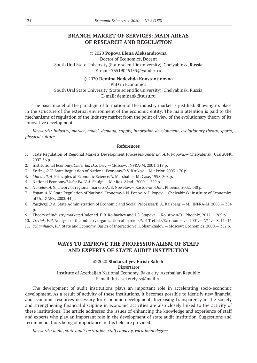# **BRANCH MARKET OF SERVICES: MAIN AREAS OF RESEARCH AND REGULATION**

#### ©© 2020 **Popova Elena Aleksandrovna**

Doctor of Economics, Docent South Ural State University (State scientific university), Chelyabinsk, Russia E‑mail: 73519045153@yandex.ru

#### ©© 2020 **Demina Nadezhda Konstantinovna**

PhD in Economics South Ural State University (State scientific university), Chelyabinsk, Russia E‑mail: deminank@susu.ru

The basic model of the paradigm of formation of the industry market is justified. Showing its place in the structure of the external environment of the economic entity. The main attention is paid to the mechanisms of regulation of the industry market from the point of view of the evolutionary theory of its innovative development.

*Keywords: Industry, market, model, demand, supply, innovation development, evolutionary theory, sports, physical culture.*

#### **References**

- 1. State Regulation of Regional Markets Development Processes/*Under Ed. A.F.* Popova.— Chelyabinsk: UralGUFK, 2007. 56 p.
- 2. Institutional Economy/*Under Ed. D.S.* Lviv.— Moscow: INFRA-M, 2001. 318 p.
- 3. *Krukov, R.V*. State Regulation of National Economy/R.V. Krukov.— M.: Prior, 2005. 176 p.
- 4. *Marshall, A*. Principles of Economic Science/A. Marshall.— M: Case, 1998. 308 p.
- 5. National Economy/*Under Ed. V.A.* Shulgi.— M.: Ros. Akad., 2000.— 529 p.
- 6. *Nowelov, A.S.* Theory of regional markets/A. S. Nowelov.— Rostov-on-Don: Phoenix, 2002. 448 p.
- 7. *Popov, A.N*. State Regulation of National Economy/A.N. Popov, A.F. Popov.— Chelyabinsk: Institute of Economics of UralGAFK, 2003. 44 p.
- 8. *Raizberg, B.A*. State Administration of Economic and Social Processes/B. A. Raizberg.— M.: INFRA-M, 2005.— 384 p.
- 9. Theory of industry markets/Under ed. E.B. Kolbachev and I.S. Stapova.— Ro-stov n/D.: Phoenix, 2012.— 269 p.
- 10. *Tretiak, V.P*. Analysis of the industry organization of markets/V.P. Tretiak//Eco-nomist.— 2001.— № 1.— S. 11–16.
- 11. *Schamhalov, F.I.* State and Economy. Basics of Interaction/F.I. Shamkhalov.— Moscow: Economics, 2000.— 382 p.

# **WAYS TO IMPROVE THE PROFESSIONALISM OF STAFF AND EXPERTS OF STATE AUDIT INSTITUTION**

#### ©© 2020 **Shakaraliyev Firish Balish**

Dissertator

Institute of Azerbaijan National Economy, Baku city, Azerbaijan Republic E‑mail: firis. sekerelyev@mail.ru

The development of audit institutions plays an important role in accelerating socio-economic development. As a result of activity of these institutions, it becomes possible to identify new financial and economic resources necessary for economic development. Increasing transparency in the society and strengthening financial discipline in economic activities are also closely linked to the activity of these institutions. The article addresses the issues of enhancing the knowledge and experience of staff and experts who play an important role in the development of state audit institution. Suggestions and recommendations being of importance in this field are provided.

*Keywords: audit, state audit institution, staff capacity, vocational degree.*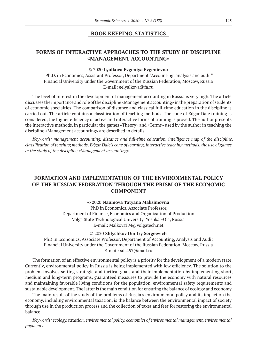#### **BOOK KEEPING, STATISTICS**

# **FORMS OF INTERACTIVE APPROACHES TO THE STUDY OF DISCIPLINE «MANAGEMENT ACCOUNTING»**

#### ©© 2020 **Lyalkova Evgeniya Evgenievna**

Ph.D. in Economics, Assistant Professor, Department "Accounting, analysis and audit" Financial University under the Government of the Russian Federation, Moscow, Russia E‑mail: eelyalkova@fa.ru

The level of interest in the development of management accounting in Russia is very high. The article discusses the importance and role of the discipline «Management accounting» in the preparation of students of economic specialties. The comparison of distance and classical full-time education in the discipline is carried out. The article contains a classification of teaching methods. The cone of Edgar Dale training is considered, the higher efficiency of active and interactive forms of training is proved. The author presents the interactive methods, in particular the games «Theory» and «Terms» used by the author in teaching the discipline «Management accounting» are described in details

*Keywords: management accounting, distance and full-time education, intelligence map of the discipline, classification of teaching methods, Edgar Dale's cone of learning, interactive teaching methods, the use of games in the study of the discipline «Management accounting».*

# **FORMATION AND IMPLEMENTATION OF THE ENVIRONMENTAL POLICY OF THE RUSSIAN FEDERATION THROUGH THE PRISM OF THE ECONOMIC COMPONENT**

#### ©© 2020 **Naumova Tatyana Maksimovna**

PhD in Economics, Associate Professor, Department of Finance, Economics and Organization of Production Volga State Technological University, Yoshkar-Ola, Russia E‑mail: MalkovaTM@volgatech.net

#### ©© 2020 **Shlychkov Dmitry Sergeevich**

PhD in Economics, Associate Professor, Department of Accounting, Analysis and Audit Financial University under the Government of the Russian Federation, Moscow, Russia E‑mail: sds457@mail.ru

The formation of an effective environmental policy is a priority for the development of a modern state. Currently, environmental policy in Russia is being implemented with low efficiency. The solution to the problem involves setting strategic and tactical goals and their implementation by implementing short, medium and long-term programs, guaranteed measures to provide the economy with natural resources and maintaining favorable living conditions for the population, environmental safety requirements and sustainable development. The latter is the main condition for ensuring the balance of ecology and economy.

The main result of the study of the problems of Russia's environmental policy and its impact on the economy, including environmental taxation, is the balance between the environmental impact of society through use in the production process and the collection of taxes and fees for restoring the environmental balance.

*Keywords: ecology, taxation, environmental policy, economics of environmental management, environmental payments.*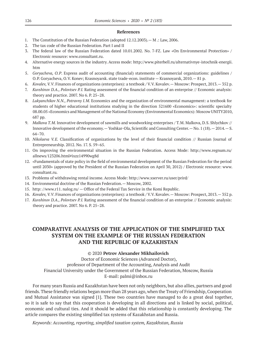#### **References**

- 1. The Constitution of the Russian Federation (adopted 12.12.2003).— M .: Law, 2006.
- 2. The tax code of the Russian Federation. Part I and II
- 3. The federal law of the Russian Federation dated 10.01.2002. No. 7-FZ. Law «On Environmental Protection» / Electronic resource: www.consultant.ru.
- 4. Alternative energy sources in the industry. Access mode: http://www.piterbell.ru/alternativnye-istochnik-energii. htm
- 5. *Goryacheva, O.P*. Express audit of accounting (financial) statements of commercial organizations: guidelines / O.P. Goryacheva, O.V. Konev; Krasnoyarsk. state trade-econ. institute — Krasnoyarsk, 2010.— 81 p.
- 6. *Kovalev, V.V*. Finances of organizations (enterprises): a textbook / V.V. Kovalev.— Moscow: Prospect, 2013.— 352 p.
- 7. *Kuvshinov D.A., Polovtsev P.I.* Rating assessment of the financial condition of an enterprise // Economic analysis: theory and practice. 2007. No 6. P. 25–28.
- 8. *Lukyanchikov N.N., Potravny I.M.* Economics and the organization of environmental management: a textbook for students of higher educational institutions studying in the direction 521600 «Economics»: scientific specialty 08.00.05 «Economics and Management of the National Economy (Environmental Economics): Moscow UNITY2010, 687 pp.
- 9. *Malkova T.M.* Innovative development of sawmills and woodworking enterprises / T.M. Malkova, D.S. Shlychkov // Innovative development of the economy.—Yoshkar-Ola, Scientific and Consulting Center.—No. 1 (18).— 2014.—S. 64–70.
- 10. *Nikolaeva V.E.*  Classification of organizations by the level of their financial condition // Russian Journal of Entrepreneurship. 2012. No. 17. S. 59–65.
- 11. On improving the environmental situation in the Russian Federation. Access Mode: http://www.regnum.ru/ allnews/123206.html#ixzz14990wg8d
- 12. «Fundamentals of state policy in the field of environmental development of the Russian Federation for the period until 2030» (approved by the President of the Russian Federation on April 30, 2012) / Electronic resource: www. consultant.ru.
- 13. Problems of withdrawing rental income. Access Mode: http://www.xserver.ru/user/prird/
- 14. Environmental doctrine of the Russian Federation.— Moscow, 2002.
- 15. http: //www.r11. nalog.ru/ Office of the Federal Tax Service in the Komi Republic.
- 16. *Kovalev, V.V*. Finances of organizations (enterprises): a textbook / V.V. Kovalev.— Moscow: Prospect, 2013.— 352 p.
- 17. *Kuvshinov D.A., Polovtsev P.I.* Rating assessment of the financial condition of an enterprise // Economic analysis: theory and practice. 2007. No 6. P. 25–28.

# **COMPARATIVE ANALYSIS OF THE APPLICATION OF THE SIMPLIFIED TAX SYSTEM ON THE EXAMPLE OF THE RUSSIAN FEDERATION AND THE REPUBLIC OF KAZAKHSTAN**

## ©© 2020 **Petrov Alexander Mikhailovich**

Doctor of Economic Sciences (Advanced Doctor), professor of Department of the Accounting, Analysis and Audit Financial University under the Government of the Russian Federation, Moscow, Russia E‑mail: palmi@inbox.ru

For many years Russia and Kazakhstan have been not only neighbors, but also allies, partners and good friends. These friendly relations began more than 28 years ago, when the Treaty of Friendship, Cooperation and Mutual Assistance was signed [1]. These two countries have managed to do a great deal together, so it is safe to say that this cooperation is developing in all directions and is linked by social, political, economic and cultural ties. And it should be added that this relationship is constantly developing. The article compares the existing simplified tax systems of Kazakhstan and Russia.

*Keywords: Accounting, reporting, simplified taxation system, Kazakhstan, Russia*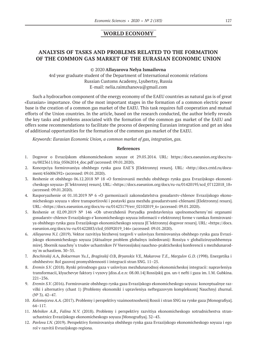# **WORLD ECONOMY**

# **ANALYSIS OF TASKS AND PROBLEMS RELATED TO THE FORMATION OF THE COMMON GAS MARKET OF THE EURASIAN ECONOMIC UNION**

#### ©© 2020 **Allayarova Nelya Ismailovna**

4rd year graduate student of the Department of International economic relations Russian Customs Academy, Lyubertsy, Russia E-mail: nelia.raimzhanova@gmail.com

Such a hydrocarbon component of the energy economy of the EAEU countries as natural gas is of great «Eurasian» importance. One of the most important stages in the formation of a common electric power base is the creation of a common gas market of the EAEU. This task requires full cooperation and mutual efforts of the Union countries. In the article, based on the research conducted, the author briefly reveals the key tasks and problems associated with the formation of the common gas market of the EAEU and offers some recommendations to facilitate the process of deepening Eurasian integration and get an idea of additional opportunities for the formation of the common gas market of the EAEU.

*Keywords: Eurasian Economic Union, a common market of gas, integration, gas.*

#### **References**

- 1. Dogovor o Evrazijskom ehkonomicheskom soyuze ot 29.05.2014. URL: https://docs.eaeunion.org/docs/ruru/0023611/itia\_05062014\_doc.pdf (accessed: 09.01.2020).
- 2. Koncepciya formirovaniya obshhego rynka gaza EAE`S [Elektronnyj resurs]. URL: «http://docs.cntd.ru/document/456006392» (accessed: 09.01.2020).
- 3. Reshenie ot obshhego 06.12.2018 № 18 «O formirovanii mezhdu obshhego rynka gaza Evrazijskogo ekonomicheskogo soyuza» [E`lektronnyj resurs]. URL: «https://docs.eaeunion.org/docs/ru-ru/01420195/scd\_07122018\_18» (accessed: 09.01.2020).
- 4. Rasporyazhenie ot 01.10.2019 № 6 «O garmonizacii zakonodatelstva gosudarstv-chlenov Evrazijskogo ekonomicheskogo soyuza v sfere transportirovki i postavki gaza mezhdu gosudarstvami-chlenami [Elektronnyj resurs]. URL: «https://docs.eaeunion.org/docs/ru-ru/01423179/err\_02102019\_6» (accessed: 09.01.2020).
- 5. Reshenie ot 02.09.2019 № 146 «Ob utverzhdenii Poryadka predstavleniya upolnomochenny`mi organami gosudarstv-chlenov Evrazijskogo e`konomicheskogo soyuza informacii v elektronnyj forme v ramkax formirovaniya obshhego rynka gaza Evrazijskogo ekonomicheskogo soyuza [E`lektronnyj dogovor resurs]. URL: «https://docs. eaeunion.org/docs/ru-ru/01422883/clcd\_05092019\_146» (accessed: 09.01.2020).
- 6. *Allayarova N.I.* (2019). Vektor razvitiya birzhevoj torgovli v usloviyax formirovaniya obshhego rynka gaza Evrazijskogo ekonomicheskogo soyuza [Aktualnye problem globalnyx issledovanij: Rossiya v globaliziruyushhemsya mire]. Sbornik nauchny`x trudov uchastnikov IV Vserossijskoj nauchno-prakticheskoj konferencii s mezhdunarodny`m uchastiem. 30–35.
- 7. *Beschinskij A.*A, *Bokserman Yu.I., Braginskij O.*B, *Bryanskix V.*E, *Makarova T.E., Margulov G.D.* (1998). Energetika i obshhestvo: Rol gazovoj promyshlennosti i integracii stran SNG. 11–25.
- 8. *Eremin S.V.* (2018). Rynki prirodnogo gaza v usloviyax mezhdunarodnoj ekonomicheskoj integracii: napravleniya transformacii, klyuchevye faktory i vyzovy [diss.d.e.n: 08.00.14] Rossijskij gos. un-t nefti i gaza im. I.M. Gubkina. 221–236.
- 9. *Eremin S.V.* (2016). Formirovanie obshhego rynka gaza Evrazijskogo ekonomicheskogo soyuza: konceptualnye razvilki i alternativy (chast 1) [Problemy ekonomiki i upravleniya neftegazovym kompleksom] Nauchnyj zhurnal. (№ 3). 42–47.
- 10. *Kolomejceva A.A.* (2017). Problemy i perspektivy vzaimootnoshenij Rossii i stran SNG na rynke gaza [Monografiya]. 64–117.
- 11. *Melnikov A.B., Falina N.V.* (2018). Problemy i perspektivy razvitiya ekonomicheskogo sotrudnichestva stranuchastnicz Evrazijskogo ekonomicheskogo soyuza [Monografiya]. 32–43.
- 12. *Pavlova I.N.* (2019). Perspektivy formirovaniya obshhego rynka gaza Evrazijskogo ekonomicheskogo soyuza i ego rol v razvitii Evrazijskogo regiona.